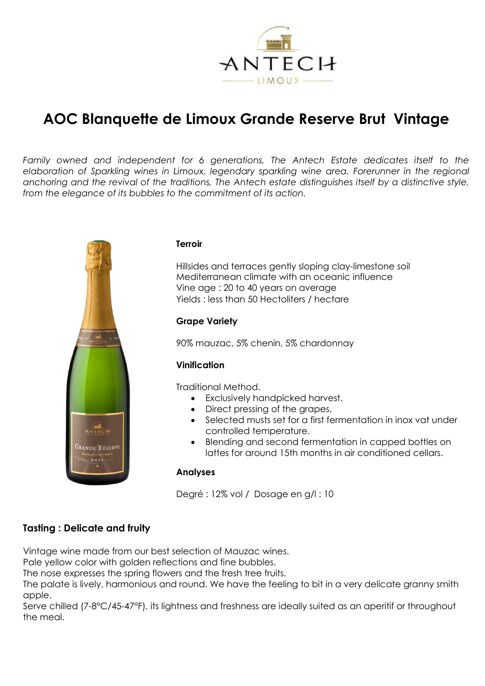

# **AOC Blanquette de Limoux Grande Reserve Brut Vintage**

*Family owned and independent for 6 generations, The Antech Estate dedicates itself to the elaboration of Sparkling wines in Limoux, legendary sparkling wine area. Forerunner in the regional anchoring and the revival of the traditions, The Antech estate distinguishes itself by a distinctive style, from the elegance of its bubbles to the commitment of its action.*



## **Terroir**

Hillsides and terraces gently sloping clay-limestone soil Mediterranean climate with an oceanic influence Vine age : 20 to 40 years on average Yields : less than 50 Hectoliters / hectare

## **Grape Variety**

90% mauzac, 5% chenin, 5% chardonnay

## **Vinification**

Traditional Method.

- Exclusively handpicked harvest.
- Direct pressing of the grapes.
- Selected musts set for a first fermentation in inox vat under controlled temperature.
- Blending and second fermentation in capped bottles on lattes for around 15th months in air conditioned cellars.

#### **Analyses**

Degré : 12% vol / Dosage en g/l : 10

# **Tasting : Delicate and fruity**

Vintage wine made from our best selection of Mauzac wines.

Pale yellow color with golden reflections and fine bubbles.

The nose expresses the spring flowers and the fresh tree fruits.

The palate is lively, harmonious and round. We have the feeling to bit in a very delicate granny smith apple.

Serve chilled (7-8°C/45-47°F), its lightness and freshness are ideally suited as an aperitif or throughout the meal.